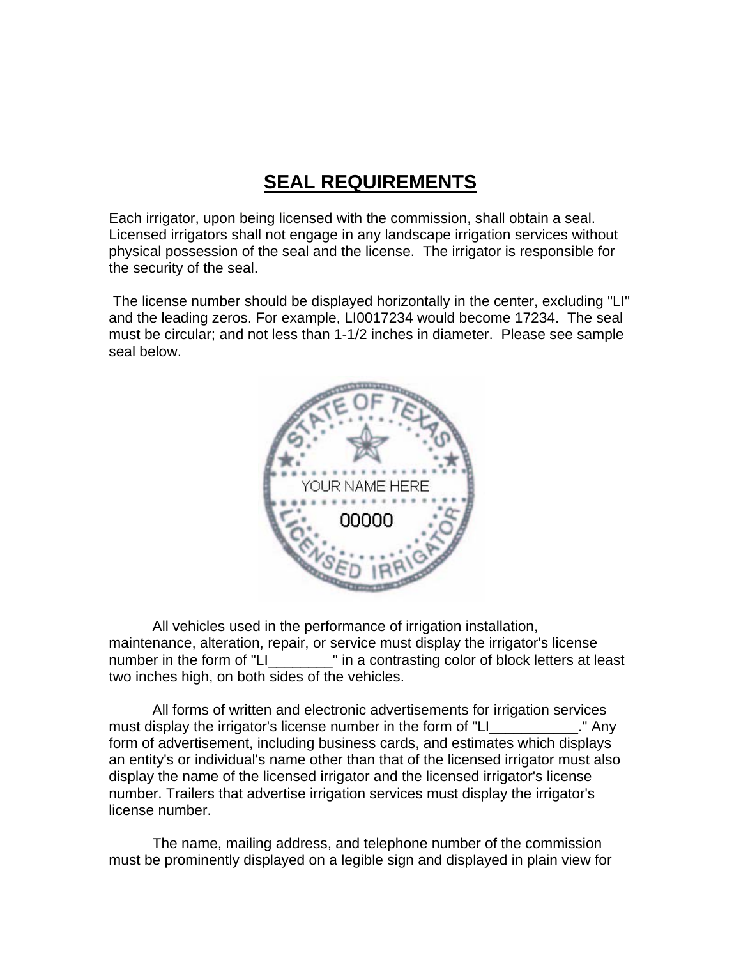## **SEAL REQUIREMENTS**

Each irrigator, upon being licensed with the commission, shall obtain a seal. Licensed irrigators shall not engage in any landscape irrigation services without physical possession of the seal and the license. The irrigator is responsible for the security of the seal.

 The license number should be displayed horizontally in the center, excluding "LI" and the leading zeros. For example, LI0017234 would become 17234. The seal must be circular; and not less than 1-1/2 inches in diameter. Please see sample seal below.



All vehicles used in the performance of irrigation installation, maintenance, alteration, repair, or service must display the irrigator's license number in the form of "LI\_\_\_\_\_\_\_\_" in a contrasting color of block letters at least two inches high, on both sides of the vehicles.

All forms of written and electronic advertisements for irrigation services must display the irrigator's license number in the form of "LI\_\_\_\_\_\_\_\_\_\_\_\_." Any form of advertisement, including business cards, and estimates which displays an entity's or individual's name other than that of the licensed irrigator must also display the name of the licensed irrigator and the licensed irrigator's license number. Trailers that advertise irrigation services must display the irrigator's license number.

The name, mailing address, and telephone number of the commission must be prominently displayed on a legible sign and displayed in plain view for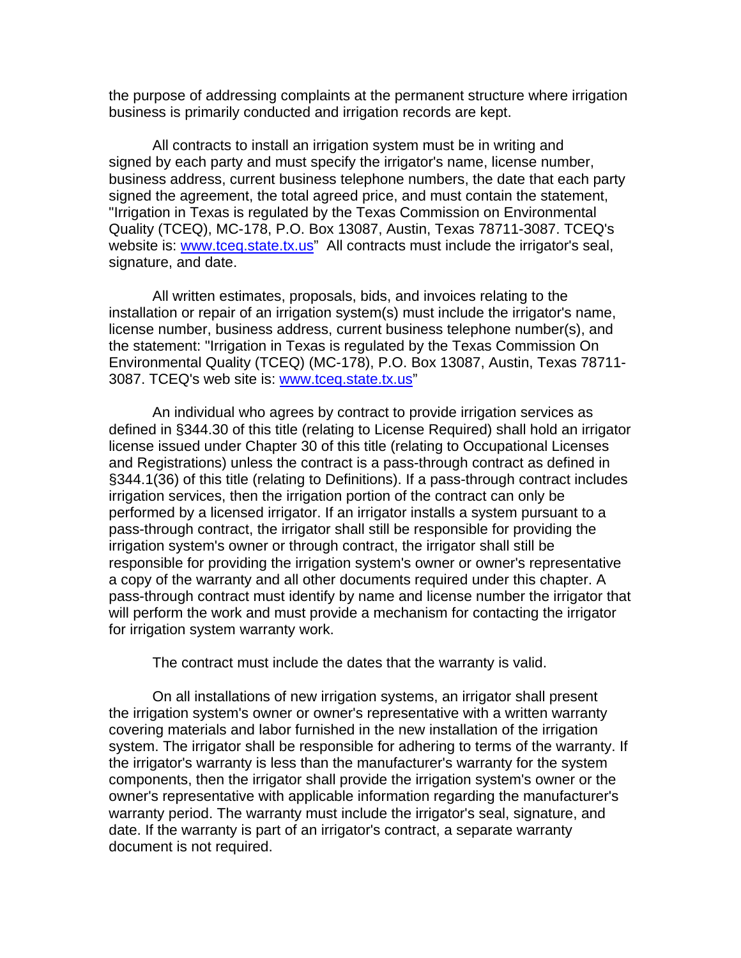the purpose of addressing complaints at the permanent structure where irrigation business is primarily conducted and irrigation records are kept.

All contracts to install an irrigation system must be in writing and signed by each party and must specify the irrigator's name, license number, business address, current business telephone numbers, the date that each party signed the agreement, the total agreed price, and must contain the statement, "Irrigation in Texas is regulated by the Texas Commission on Environmental Quality (TCEQ), MC-178, P.O. Box 13087, Austin, Texas 78711-3087. TCEQ's website is: [www.tceq.state.tx.us](http://www.tceq.state.tx.us/)" All contracts must include the irrigator's seal, signature, and date.

All written estimates, proposals, bids, and invoices relating to the installation or repair of an irrigation system(s) must include the irrigator's name, license number, business address, current business telephone number(s), and the statement: "Irrigation in Texas is regulated by the Texas Commission On Environmental Quality (TCEQ) (MC-178), P.O. Box 13087, Austin, Texas 78711- 3087. TCEQ's web site is: [www.tceq.state.tx.us](http://www.tceq.state.tx.us/)"

An individual who agrees by contract to provide irrigation services as defined in §344.30 of this title (relating to License Required) shall hold an irrigator license issued under Chapter 30 of this title (relating to Occupational Licenses and Registrations) unless the contract is a pass-through contract as defined in §344.1(36) of this title (relating to Definitions). If a pass-through contract includes irrigation services, then the irrigation portion of the contract can only be performed by a licensed irrigator. If an irrigator installs a system pursuant to a pass-through contract, the irrigator shall still be responsible for providing the irrigation system's owner or through contract, the irrigator shall still be responsible for providing the irrigation system's owner or owner's representative a copy of the warranty and all other documents required under this chapter. A pass-through contract must identify by name and license number the irrigator that will perform the work and must provide a mechanism for contacting the irrigator for irrigation system warranty work.

The contract must include the dates that the warranty is valid.

On all installations of new irrigation systems, an irrigator shall present the irrigation system's owner or owner's representative with a written warranty covering materials and labor furnished in the new installation of the irrigation system. The irrigator shall be responsible for adhering to terms of the warranty. If the irrigator's warranty is less than the manufacturer's warranty for the system components, then the irrigator shall provide the irrigation system's owner or the owner's representative with applicable information regarding the manufacturer's warranty period. The warranty must include the irrigator's seal, signature, and date. If the warranty is part of an irrigator's contract, a separate warranty document is not required.